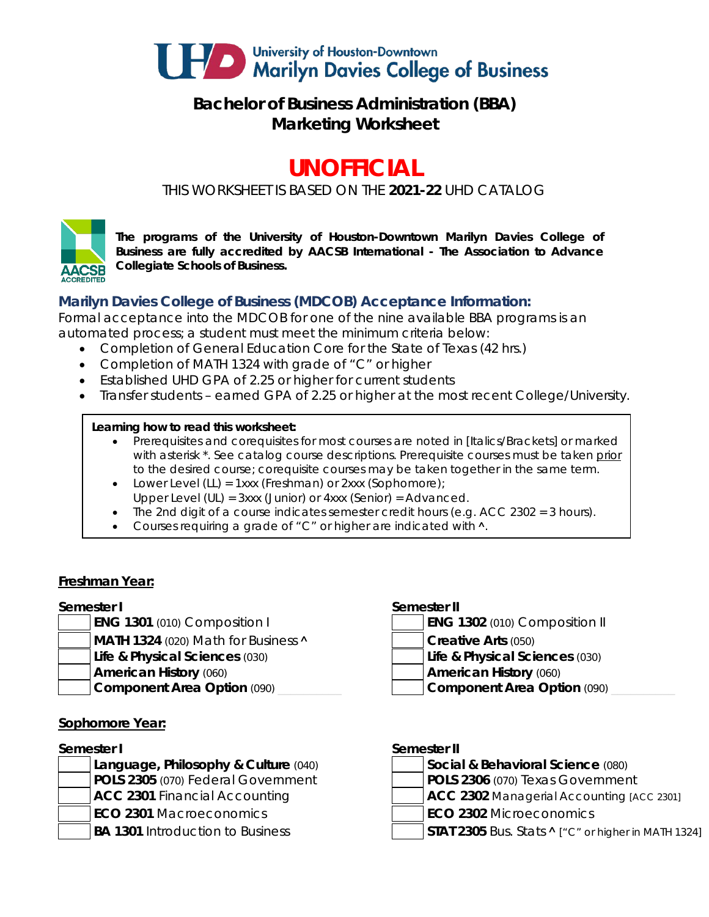

## **Bachelor of Business Administration (BBA) Marketing Worksheet**

# **UNOFFICIAL**

*THIS WORKSHEET IS BASED ON THE 2021-22 UHD CATALOG*



*The programs of the University of Houston-Downtown Marilyn Davies College of Business are fully accredited by AACSB International - The Association to Advance Collegiate Schools of Business.*

### **Marilyn Davies College of Business (MDCOB) Acceptance Information:**

Formal acceptance into the MDCOB for one of the nine available BBA programs is an automated process; a student must meet the minimum criteria below:

- Completion of General Education Core for the State of Texas (42 hrs.)
- Completion of MATH 1324 with grade of "C" or higher
- Established UHD GPA of 2.25 or higher for current students
- Transfer students earned GPA of 2.25 or higher at the most recent College/University.

### **Learning how to read this worksheet:**

- Prerequisites and corequisites for most courses are noted in *[Italics/Brackets]* or marked with asterisk \*. See catalog course descriptions. Prerequisite courses must be taken prior to the desired course; corequisite courses may be taken together in the same term.
- Lower Level (LL) = 1xxx (Freshman) or 2xxx (Sophomore);
- Upper Level (UL) = 3xxx (Junior) or 4xxx (Senior) = Advanced.
- The 2nd digit of a course indicates semester credit hours (e.g.  $ACC$  2302 = 3 hours).
- Courses requiring a grade of "C" or higher are indicated with  $\lambda$ .

### **Freshman Year:**

### **Semester I Semester II**

- 
- **MATH 1324** (020) Math for Business **A Creative Arts** (050)
- **Life & Physical Sciences** (030) **Life & Physical Sciences** (030)
- -

### **Sophomore Year:**

- **Language, Philosophy & Culture** (040) **Social & Behavioral Science** (080)
- 
- 

- **ENG 1301** (010) Composition I **ENG 1302** (010) Composition II
	- -
- **American History** (060) **American History** (060)
- **Component Area Option** (090) **and Component Area Option** (090)

### **Semester I Semester II**

- **POLS 2305** (070) Federal Government **POLS 2306** (070) Texas Government
- **ACC 2301** Financial Accounting **ACC 2302** Managerial Accounting *[ACC 2301]*
- **ECO 2301** Macroeconomics **ECO 2302** Microeconomics
- BA 1301 Introduction to Business **STAT 2305** Bus. Stats **^** ["C" or higher in MATH 1324]